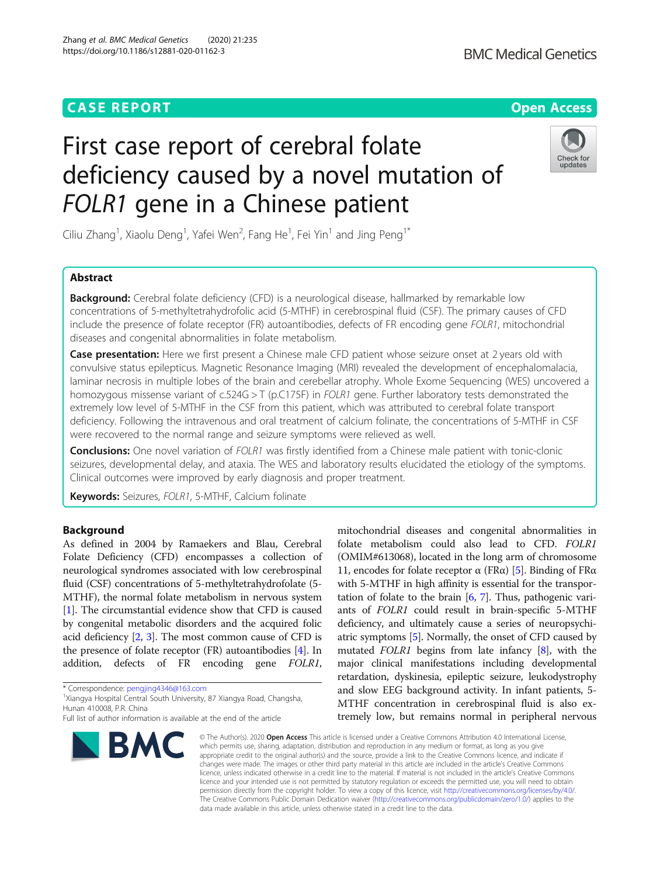Zhang et al. BMC Medical Genetics (2020) 21:235 https://doi.org/10.1186/s12881-020-01162-3



# First case report of cerebral folate deficiency caused by a novel mutation of FOLR1 gene in a Chinese patient



Ciliu Zhang<sup>1</sup>, Xiaolu Deng<sup>1</sup>, Yafei Wen<sup>2</sup>, Fang He<sup>1</sup>, Fei Yin<sup>1</sup> and Jing Peng<sup>1\*</sup>

# Abstract

**Background:** Cerebral folate deficiency (CFD) is a neurological disease, hallmarked by remarkable low concentrations of 5-methyltetrahydrofolic acid (5-MTHF) in cerebrospinal fluid (CSF). The primary causes of CFD include the presence of folate receptor (FR) autoantibodies, defects of FR encoding gene FOLR1, mitochondrial diseases and congenital abnormalities in folate metabolism.

Case presentation: Here we first present a Chinese male CFD patient whose seizure onset at 2 years old with convulsive status epilepticus. Magnetic Resonance Imaging (MRI) revealed the development of encephalomalacia, laminar necrosis in multiple lobes of the brain and cerebellar atrophy. Whole Exome Sequencing (WES) uncovered a homozygous missense variant of c.524G > T (p.C175F) in FOLR1 gene. Further laboratory tests demonstrated the extremely low level of 5-MTHF in the CSF from this patient, which was attributed to cerebral folate transport deficiency. Following the intravenous and oral treatment of calcium folinate, the concentrations of 5-MTHF in CSF were recovered to the normal range and seizure symptoms were relieved as well.

**Conclusions:** One novel variation of FOLR1 was firstly identified from a Chinese male patient with tonic-clonic seizures, developmental delay, and ataxia. The WES and laboratory results elucidated the etiology of the symptoms. Clinical outcomes were improved by early diagnosis and proper treatment.

Keywords: Seizures, FOLR1, 5-MTHF, Calcium folinate

# Background

As defined in 2004 by Ramaekers and Blau, Cerebral Folate Deficiency (CFD) encompasses a collection of neurological syndromes associated with low cerebrospinal fluid (CSF) concentrations of 5-methyltetrahydrofolate (5- MTHF), the normal folate metabolism in nervous system [[1\]](#page-4-0). The circumstantial evidence show that CFD is caused by congenital metabolic disorders and the acquired folic acid deficiency [\[2,](#page-4-0) [3\]](#page-4-0). The most common cause of CFD is the presence of folate receptor (FR) autoantibodies [[4\]](#page-4-0). In addition, defects of FR encoding gene FOLR1,

\* Correspondence: [pengjing4346@163.com](mailto:pengjing4346@163.com) <sup>1</sup>

<sup>1</sup>Xiangya Hospital Central South University, 87 Xiangya Road, Changsha, Hunan 410008, P.R. China

Full list of author information is available at the end of the article



mitochondrial diseases and congenital abnormalities in folate metabolism could also lead to CFD. FOLR1 (OMIM#613068), located in the long arm of chromosome 11, encodes for folate receptor  $\alpha$  (FRα) [\[5\]](#page-4-0). Binding of FRα with 5-MTHF in high affinity is essential for the transportation of folate to the brain  $[6, 7]$  $[6, 7]$  $[6, 7]$  $[6, 7]$ . Thus, pathogenic variants of FOLR1 could result in brain-specific 5-MTHF deficiency, and ultimately cause a series of neuropsychiatric symptoms [\[5](#page-4-0)]. Normally, the onset of CFD caused by mutated FOLR1 begins from late infancy  $[8]$ , with the major clinical manifestations including developmental retardation, dyskinesia, epileptic seizure, leukodystrophy and slow EEG background activity. In infant patients, 5- MTHF concentration in cerebrospinal fluid is also extremely low, but remains normal in peripheral nervous

© The Author(s), 2020 **Open Access** This article is licensed under a Creative Commons Attribution 4.0 International License, which permits use, sharing, adaptation, distribution and reproduction in any medium or format, as long as you give appropriate credit to the original author(s) and the source, provide a link to the Creative Commons licence, and indicate if changes were made. The images or other third party material in this article are included in the article's Creative Commons licence, unless indicated otherwise in a credit line to the material. If material is not included in the article's Creative Commons licence and your intended use is not permitted by statutory regulation or exceeds the permitted use, you will need to obtain permission directly from the copyright holder. To view a copy of this licence, visit [http://creativecommons.org/licenses/by/4.0/.](http://creativecommons.org/licenses/by/4.0/) The Creative Commons Public Domain Dedication waiver [\(http://creativecommons.org/publicdomain/zero/1.0/](http://creativecommons.org/publicdomain/zero/1.0/)) applies to the data made available in this article, unless otherwise stated in a credit line to the data.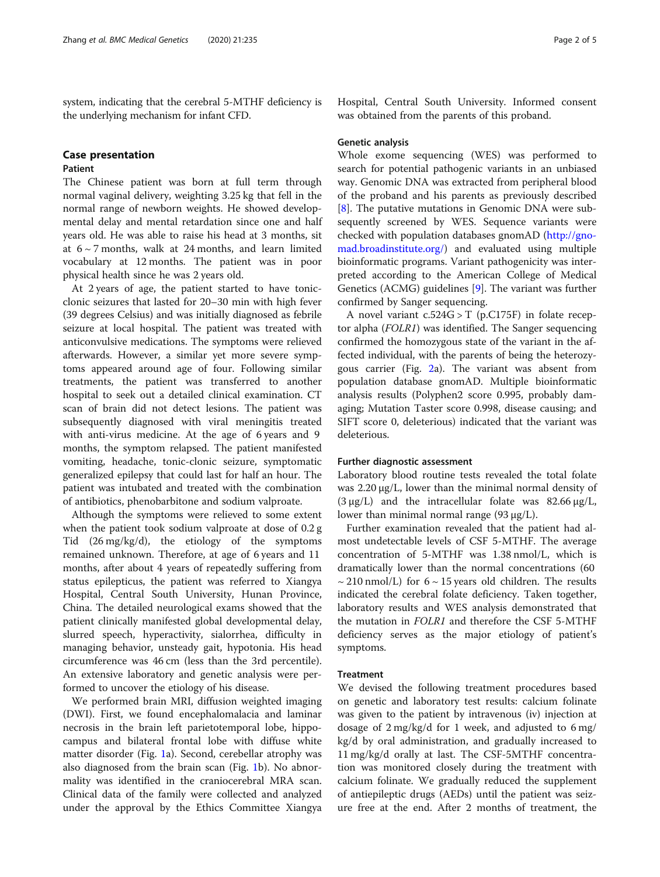system, indicating that the cerebral 5-MTHF deficiency is the underlying mechanism for infant CFD.

# Case presentation

### Patient

The Chinese patient was born at full term through normal vaginal delivery, weighting 3.25 kg that fell in the normal range of newborn weights. He showed developmental delay and mental retardation since one and half years old. He was able to raise his head at 3 months, sit at  $6 \sim 7$  months, walk at 24 months, and learn limited vocabulary at 12 months. The patient was in poor physical health since he was 2 years old.

At 2 years of age, the patient started to have tonicclonic seizures that lasted for 20–30 min with high fever (39 degrees Celsius) and was initially diagnosed as febrile seizure at local hospital. The patient was treated with anticonvulsive medications. The symptoms were relieved afterwards. However, a similar yet more severe symptoms appeared around age of four. Following similar treatments, the patient was transferred to another hospital to seek out a detailed clinical examination. CT scan of brain did not detect lesions. The patient was subsequently diagnosed with viral meningitis treated with anti-virus medicine. At the age of 6 years and 9 months, the symptom relapsed. The patient manifested vomiting, headache, tonic-clonic seizure, symptomatic generalized epilepsy that could last for half an hour. The patient was intubated and treated with the combination of antibiotics, phenobarbitone and sodium valproate.

Although the symptoms were relieved to some extent when the patient took sodium valproate at dose of 0.2 g Tid (26 mg/kg/d), the etiology of the symptoms remained unknown. Therefore, at age of 6 years and 11 months, after about 4 years of repeatedly suffering from status epilepticus, the patient was referred to Xiangya Hospital, Central South University, Hunan Province, China. The detailed neurological exams showed that the patient clinically manifested global developmental delay, slurred speech, hyperactivity, sialorrhea, difficulty in managing behavior, unsteady gait, hypotonia. His head circumference was 46 cm (less than the 3rd percentile). An extensive laboratory and genetic analysis were performed to uncover the etiology of his disease.

We performed brain MRI, diffusion weighted imaging (DWI). First, we found encephalomalacia and laminar necrosis in the brain left parietotemporal lobe, hippocampus and bilateral frontal lobe with diffuse white matter disorder (Fig. [1a](#page-2-0)). Second, cerebellar atrophy was also diagnosed from the brain scan (Fig. [1](#page-2-0)b). No abnormality was identified in the craniocerebral MRA scan. Clinical data of the family were collected and analyzed under the approval by the Ethics Committee Xiangya Hospital, Central South University. Informed consent was obtained from the parents of this proband.

#### Genetic analysis

Whole exome sequencing (WES) was performed to search for potential pathogenic variants in an unbiased way. Genomic DNA was extracted from peripheral blood of the proband and his parents as previously described [[8\]](#page-4-0). The putative mutations in Genomic DNA were subsequently screened by WES. Sequence variants were checked with population databases gnomAD ([http://gno](http://gnomad.broadinstitute.org/)[mad.broadinstitute.org/\)](http://gnomad.broadinstitute.org/) and evaluated using multiple bioinformatic programs. Variant pathogenicity was interpreted according to the American College of Medical Genetics (ACMG) guidelines [\[9\]](#page-4-0). The variant was further confirmed by Sanger sequencing.

A novel variant  $c.524G > T$  (p.C175F) in folate receptor alpha (FOLR1) was identified. The Sanger sequencing confirmed the homozygous state of the variant in the affected individual, with the parents of being the heterozygous carrier (Fig. [2a](#page-2-0)). The variant was absent from population database gnomAD. Multiple bioinformatic analysis results (Polyphen2 score 0.995, probably damaging; Mutation Taster score 0.998, disease causing; and SIFT score 0, deleterious) indicated that the variant was deleterious.

#### Further diagnostic assessment

Laboratory blood routine tests revealed the total folate was 2.20 μg/L, lower than the minimal normal density of (3  $\mu$ g/L) and the intracellular folate was 82.66  $\mu$ g/L, lower than minimal normal range  $(93 \mu g/L)$ .

Further examination revealed that the patient had almost undetectable levels of CSF 5-MTHF. The average concentration of 5-MTHF was 1.38 nmol/L, which is dramatically lower than the normal concentrations (60  $\sim$  210 nmol/L) for 6  $\sim$  15 years old children. The results indicated the cerebral folate deficiency. Taken together, laboratory results and WES analysis demonstrated that the mutation in FOLR1 and therefore the CSF 5-MTHF deficiency serves as the major etiology of patient's symptoms.

#### Treatment

We devised the following treatment procedures based on genetic and laboratory test results: calcium folinate was given to the patient by intravenous (iv) injection at dosage of 2 mg/kg/d for 1 week, and adjusted to 6 mg/ kg/d by oral administration, and gradually increased to 11 mg/kg/d orally at last. The CSF-5MTHF concentration was monitored closely during the treatment with calcium folinate. We gradually reduced the supplement of antiepileptic drugs (AEDs) until the patient was seizure free at the end. After 2 months of treatment, the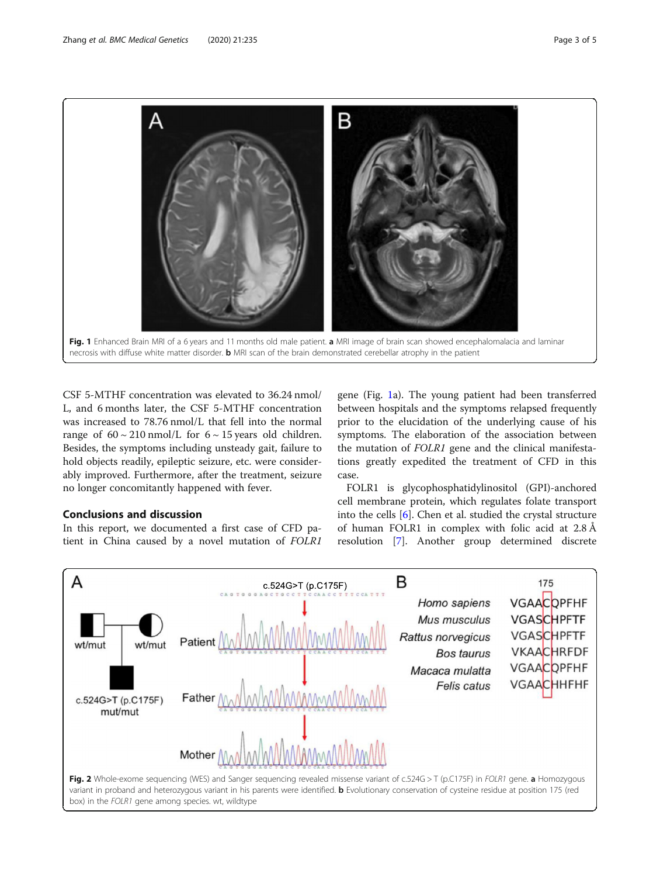<span id="page-2-0"></span>

CSF 5-MTHF concentration was elevated to 36.24 nmol/ L, and 6 months later, the CSF 5-MTHF concentration was increased to 78.76 nmol/L that fell into the normal range of  $60 \sim 210$  nmol/L for  $6 \sim 15$  years old children. Besides, the symptoms including unsteady gait, failure to hold objects readily, epileptic seizure, etc. were considerably improved. Furthermore, after the treatment, seizure no longer concomitantly happened with fever.

# Conclusions and discussion

In this report, we documented a first case of CFD patient in China caused by a novel mutation of FOLR1 gene (Fig. 1a). The young patient had been transferred between hospitals and the symptoms relapsed frequently prior to the elucidation of the underlying cause of his symptoms. The elaboration of the association between the mutation of FOLR1 gene and the clinical manifestations greatly expedited the treatment of CFD in this case.

FOLR1 is glycophosphatidylinositol (GPI)-anchored cell membrane protein, which regulates folate transport into the cells [[6](#page-4-0)]. Chen et al. studied the crystal structure of human FOLR1 in complex with folic acid at 2.8 Å resolution [[7](#page-4-0)]. Another group determined discrete

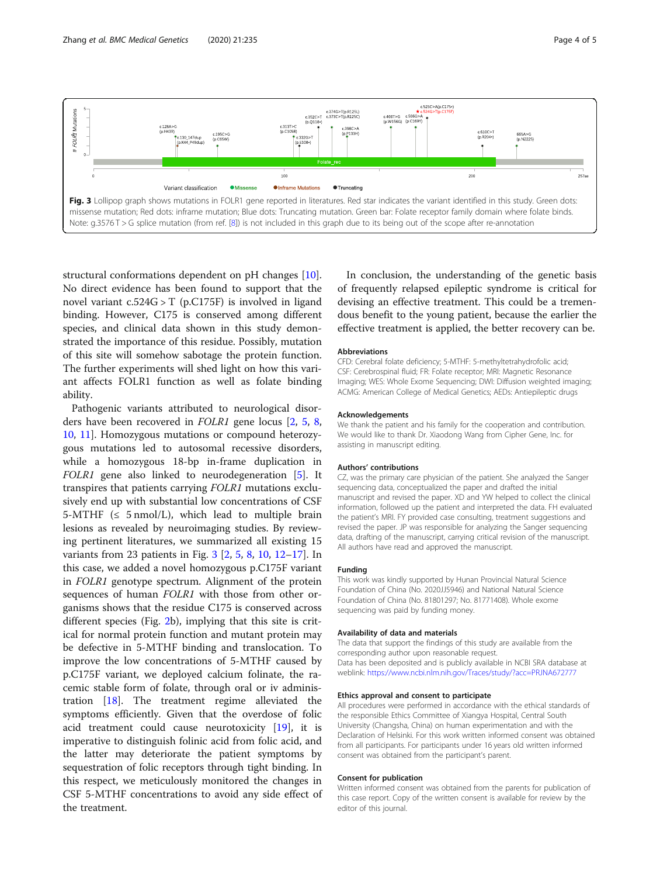



structural conformations dependent on pH changes [\[10](#page-4-0)]. No direct evidence has been found to support that the novel variant c.524G > T (p.C175F) is involved in ligand binding. However, C175 is conserved among different species, and clinical data shown in this study demonstrated the importance of this residue. Possibly, mutation of this site will somehow sabotage the protein function. The further experiments will shed light on how this variant affects FOLR1 function as well as folate binding ability.

Pathogenic variants attributed to neurological disorders have been recovered in FOLR1 gene locus [[2,](#page-4-0) [5,](#page-4-0) [8](#page-4-0), [10,](#page-4-0) [11\]](#page-4-0). Homozygous mutations or compound heterozygous mutations led to autosomal recessive disorders, while a homozygous 18-bp in-frame duplication in FOLR1 gene also linked to neurodegeneration [\[5\]](#page-4-0). It transpires that patients carrying FOLR1 mutations exclusively end up with substantial low concentrations of CSF 5-MTHF  $(\leq 5 \text{ nmol/L})$ , which lead to multiple brain lesions as revealed by neuroimaging studies. By reviewing pertinent literatures, we summarized all existing 15 variants from 23 patients in Fig. 3 [\[2](#page-4-0), [5](#page-4-0), [8,](#page-4-0) [10,](#page-4-0) [12](#page-4-0)–[17](#page-4-0)]. In this case, we added a novel homozygous p.C175F variant in FOLR1 genotype spectrum. Alignment of the protein sequences of human FOLR1 with those from other organisms shows that the residue C175 is conserved across different species (Fig. [2b](#page-2-0)), implying that this site is critical for normal protein function and mutant protein may be defective in 5-MTHF binding and translocation. To improve the low concentrations of 5-MTHF caused by p.C175F variant, we deployed calcium folinate, the racemic stable form of folate, through oral or iv administration [\[18](#page-4-0)]. The treatment regime alleviated the symptoms efficiently. Given that the overdose of folic acid treatment could cause neurotoxicity  $[19]$  $[19]$  $[19]$ , it is imperative to distinguish folinic acid from folic acid, and the latter may deteriorate the patient symptoms by sequestration of folic receptors through tight binding. In this respect, we meticulously monitored the changes in CSF 5-MTHF concentrations to avoid any side effect of the treatment.

In conclusion, the understanding of the genetic basis of frequently relapsed epileptic syndrome is critical for devising an effective treatment. This could be a tremendous benefit to the young patient, because the earlier the effective treatment is applied, the better recovery can be.

#### Abbreviations

CFD: Cerebral folate deficiency; 5-MTHF: 5-methyltetrahydrofolic acid; CSF: Cerebrospinal fluid; FR: Folate receptor; MRI: Magnetic Resonance Imaging; WES: Whole Exome Sequencing; DWI: Diffusion weighted imaging; ACMG: American College of Medical Genetics; AEDs: Antiepileptic drugs

#### Acknowledgements

We thank the patient and his family for the cooperation and contribution. We would like to thank Dr. Xiaodong Wang from Cipher Gene, Inc. for assisting in manuscript editing.

#### Authors' contributions

CZ, was the primary care physician of the patient. She analyzed the Sanger sequencing data, conceptualized the paper and drafted the initial manuscript and revised the paper. XD and YW helped to collect the clinical information, followed up the patient and interpreted the data. FH evaluated the patient's MRI. FY provided case consulting, treatment suggestions and revised the paper. JP was responsible for analyzing the Sanger sequencing data, drafting of the manuscript, carrying critical revision of the manuscript. All authors have read and approved the manuscript.

#### Funding

This work was kindly supported by Hunan Provincial Natural Science Foundation of China (No. 2020JJ5946) and National Natural Science Foundation of China (No. 81801297; No. 81771408). Whole exome sequencing was paid by funding money.

#### Availability of data and materials

The data that support the findings of this study are available from the corresponding author upon reasonable request. Data has been deposited and is publicly available in NCBI SRA database at weblink: <https://www.ncbi.nlm.nih.gov/Traces/study/?acc=PRJNA672777>

#### Ethics approval and consent to participate

All procedures were performed in accordance with the ethical standards of the responsible Ethics Committee of Xiangya Hospital, Central South University (Changsha, China) on human experimentation and with the Declaration of Helsinki. For this work written informed consent was obtained from all participants. For participants under 16 years old written informed consent was obtained from the participant's parent.

#### Consent for publication

Written informed consent was obtained from the parents for publication of this case report. Copy of the written consent is available for review by the editor of this journal.